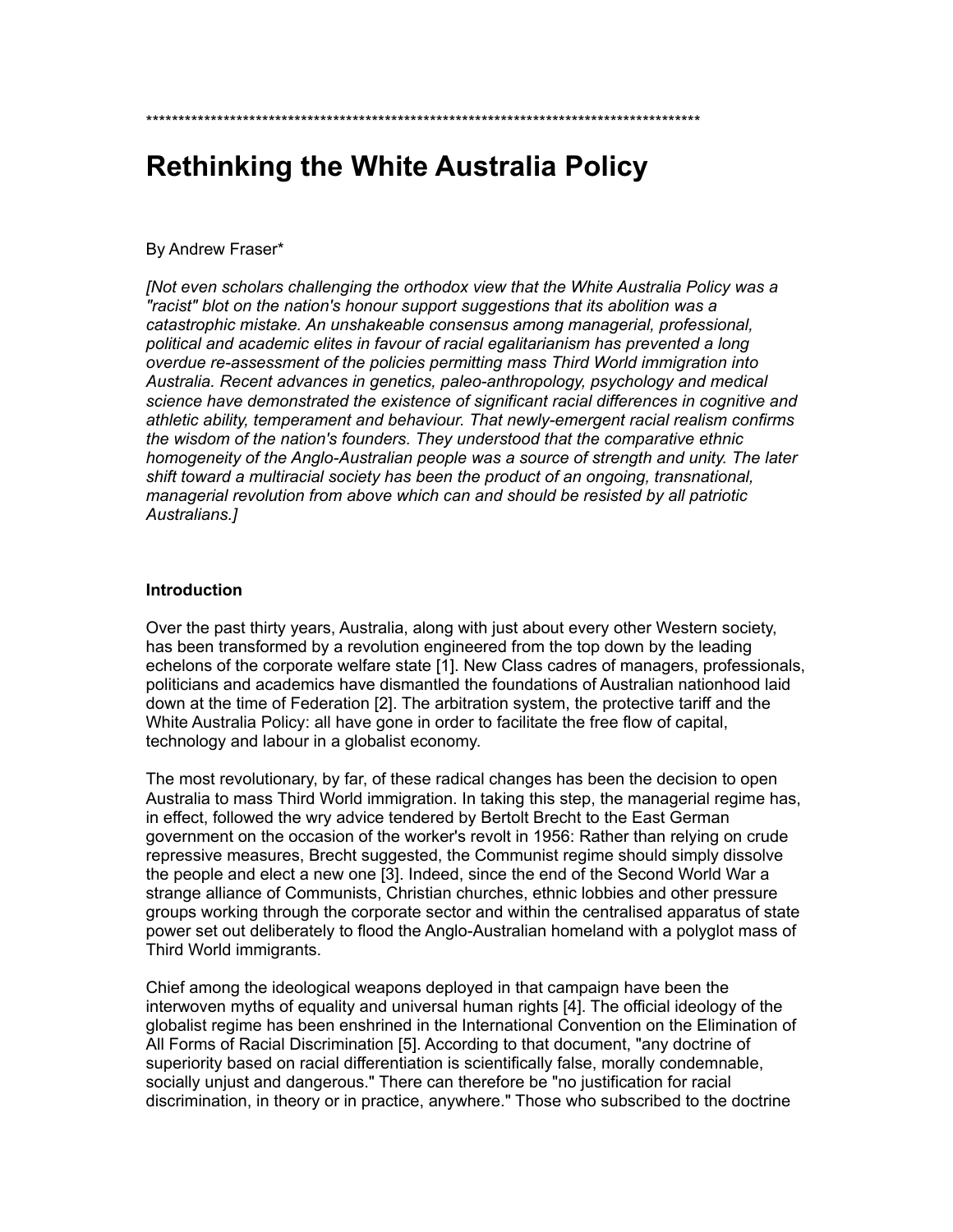# **Rethinking the White Australia Policy**

\*\*\*\*\*\*\*\*\*\*\*\*\*\*\*\*\*\*\*\*\*\*\*\*\*\*\*\*\*\*\*\*\*\*\*\*\*\*\*\*\*\*\*\*\*\*\*\*\*\*\*\*\*\*\*\*\*\*\*\*\*\*\*\*\*\*\*\*\*\*\*\*\*\*\*\*\*\*\*\*\*\*\*\*\*\*

## By Andrew Fraser\*

*[Not even scholars challenging the orthodox view that the White Australia Policy was a "racist" blot on the nation's honour support suggestions that its abolition was a catastrophic mistake. An unshakeable consensus among managerial, professional, political and academic elites in favour of racial egalitarianism has prevented a long overdue re-assessment of the policies permitting mass Third World immigration into Australia. Recent advances in genetics, paleo-anthropology, psychology and medical science have demonstrated the existence of significant racial differences in cognitive and athletic ability, temperament and behaviour. That newly-emergent racial realism confirms the wisdom of the nation's founders. They understood that the comparative ethnic homogeneity of the Anglo-Australian people was a source of strength and unity. The later shift toward a multiracial society has been the product of an ongoing, transnational, managerial revolution from above which can and should be resisted by all patriotic Australians.]*

#### **Introduction**

Over the past thirty years, Australia, along with just about every other Western society, has been transformed by a revolution engineered from the top down by the leading echelons of the corporate welfare state [1]. New Class cadres of managers, professionals, politicians and academics have dismantled the foundations of Australian nationhood laid down at the time of Federation [2]. The arbitration system, the protective tariff and the White Australia Policy: all have gone in order to facilitate the free flow of capital, technology and labour in a globalist economy.

The most revolutionary, by far, of these radical changes has been the decision to open Australia to mass Third World immigration. In taking this step, the managerial regime has, in effect, followed the wry advice tendered by Bertolt Brecht to the East German government on the occasion of the worker's revolt in 1956: Rather than relying on crude repressive measures, Brecht suggested, the Communist regime should simply dissolve the people and elect a new one [3]. Indeed, since the end of the Second World War a strange alliance of Communists, Christian churches, ethnic lobbies and other pressure groups working through the corporate sector and within the centralised apparatus of state power set out deliberately to flood the Anglo-Australian homeland with a polyglot mass of Third World immigrants.

Chief among the ideological weapons deployed in that campaign have been the interwoven myths of equality and universal human rights [4]. The official ideology of the globalist regime has been enshrined in the International Convention on the Elimination of All Forms of Racial Discrimination [5]. According to that document, "any doctrine of superiority based on racial differentiation is scientifically false, morally condemnable, socially unjust and dangerous." There can therefore be "no justification for racial discrimination, in theory or in practice, anywhere." Those who subscribed to the doctrine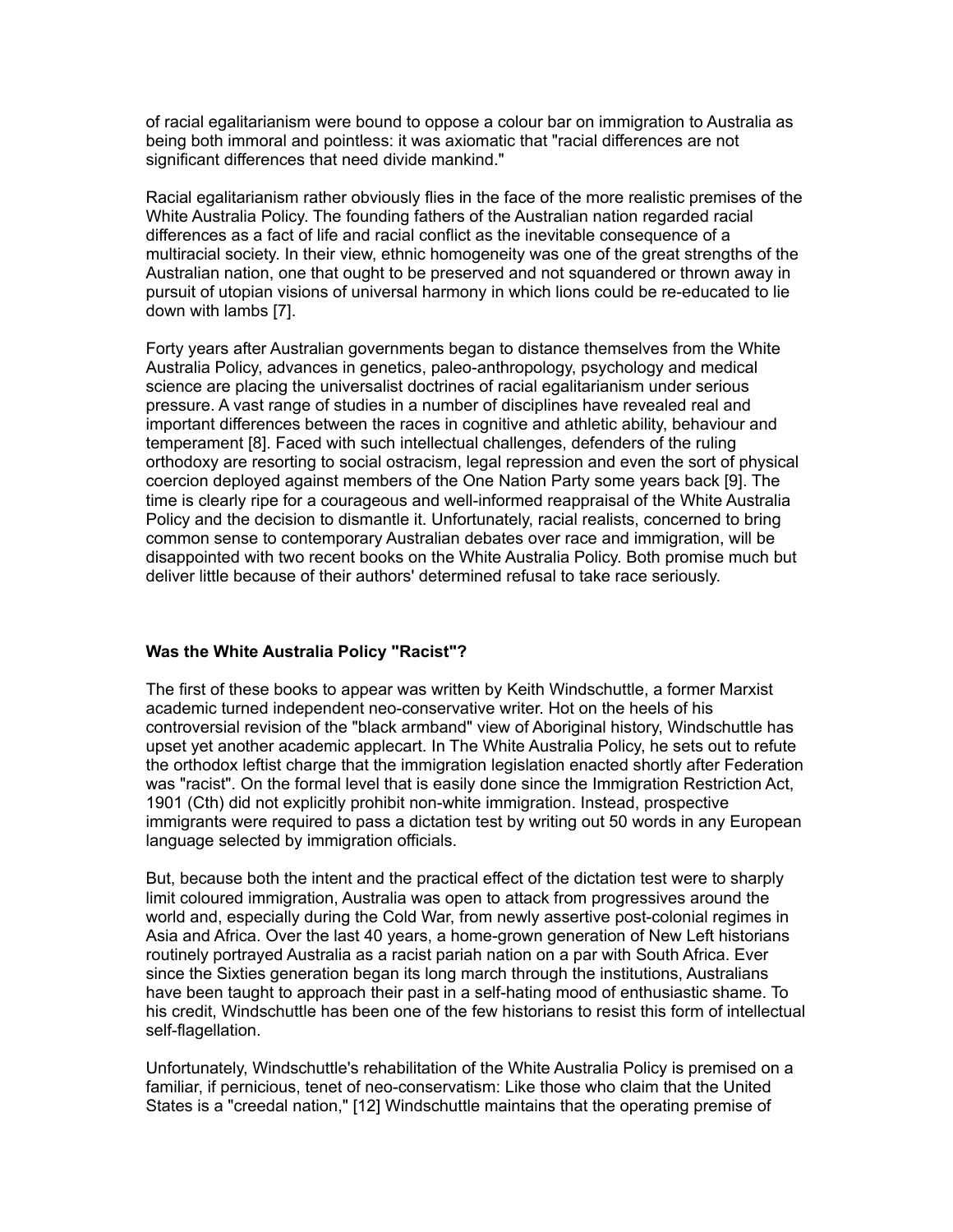of racial egalitarianism were bound to oppose a colour bar on immigration to Australia as being both immoral and pointless: it was axiomatic that "racial differences are not significant differences that need divide mankind."

Racial egalitarianism rather obviously flies in the face of the more realistic premises of the White Australia Policy. The founding fathers of the Australian nation regarded racial differences as a fact of life and racial conflict as the inevitable consequence of a multiracial society. In their view, ethnic homogeneity was one of the great strengths of the Australian nation, one that ought to be preserved and not squandered or thrown away in pursuit of utopian visions of universal harmony in which lions could be re-educated to lie down with lambs [7].

Forty years after Australian governments began to distance themselves from the White Australia Policy, advances in genetics, paleo-anthropology, psychology and medical science are placing the universalist doctrines of racial egalitarianism under serious pressure. A vast range of studies in a number of disciplines have revealed real and important differences between the races in cognitive and athletic ability, behaviour and temperament [8]. Faced with such intellectual challenges, defenders of the ruling orthodoxy are resorting to social ostracism, legal repression and even the sort of physical coercion deployed against members of the One Nation Party some years back [9]. The time is clearly ripe for a courageous and well-informed reappraisal of the White Australia Policy and the decision to dismantle it. Unfortunately, racial realists, concerned to bring common sense to contemporary Australian debates over race and immigration, will be disappointed with two recent books on the White Australia Policy. Both promise much but deliver little because of their authors' determined refusal to take race seriously.

## **Was the White Australia Policy "Racist"?**

The first of these books to appear was written by Keith Windschuttle, a former Marxist academic turned independent neo-conservative writer. Hot on the heels of his controversial revision of the "black armband" view of Aboriginal history, Windschuttle has upset yet another academic applecart. In The White Australia Policy, he sets out to refute the orthodox leftist charge that the immigration legislation enacted shortly after Federation was "racist". On the formal level that is easily done since the Immigration Restriction Act, 1901 (Cth) did not explicitly prohibit non-white immigration. Instead, prospective immigrants were required to pass a dictation test by writing out 50 words in any European language selected by immigration officials.

But, because both the intent and the practical effect of the dictation test were to sharply limit coloured immigration, Australia was open to attack from progressives around the world and, especially during the Cold War, from newly assertive post-colonial regimes in Asia and Africa. Over the last 40 years, a home-grown generation of New Left historians routinely portrayed Australia as a racist pariah nation on a par with South Africa. Ever since the Sixties generation began its long march through the institutions, Australians have been taught to approach their past in a self-hating mood of enthusiastic shame. To his credit, Windschuttle has been one of the few historians to resist this form of intellectual self-flagellation.

Unfortunately, Windschuttle's rehabilitation of the White Australia Policy is premised on a familiar, if pernicious, tenet of neo-conservatism: Like those who claim that the United States is a "creedal nation," [12] Windschuttle maintains that the operating premise of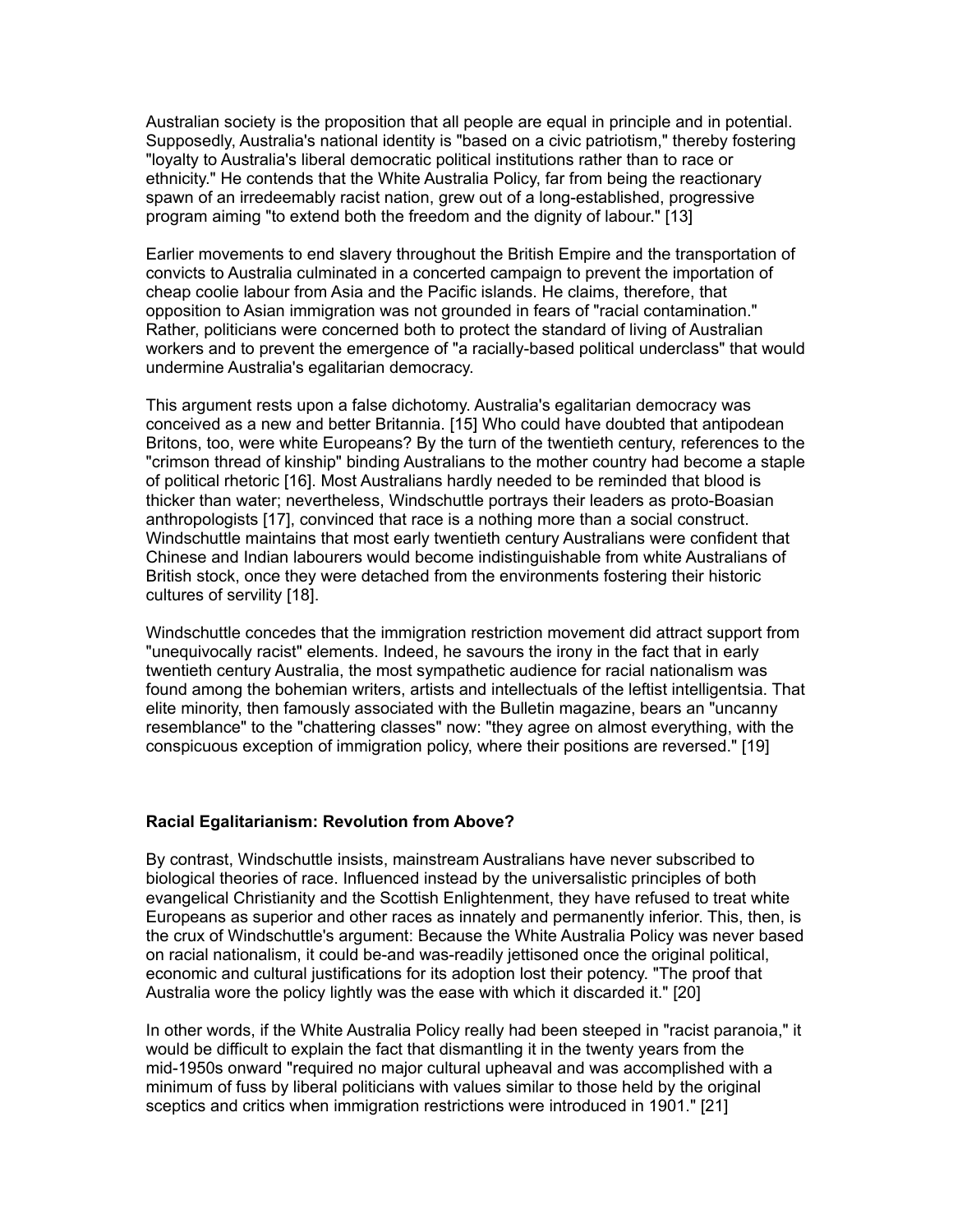Australian society is the proposition that all people are equal in principle and in potential. Supposedly, Australia's national identity is "based on a civic patriotism," thereby fostering "loyalty to Australia's liberal democratic political institutions rather than to race or ethnicity." He contends that the White Australia Policy, far from being the reactionary spawn of an irredeemably racist nation, grew out of a long-established, progressive program aiming "to extend both the freedom and the dignity of labour." [13]

Earlier movements to end slavery throughout the British Empire and the transportation of convicts to Australia culminated in a concerted campaign to prevent the importation of cheap coolie labour from Asia and the Pacific islands. He claims, therefore, that opposition to Asian immigration was not grounded in fears of "racial contamination." Rather, politicians were concerned both to protect the standard of living of Australian workers and to prevent the emergence of "a racially-based political underclass" that would undermine Australia's egalitarian democracy.

This argument rests upon a false dichotomy. Australia's egalitarian democracy was conceived as a new and better Britannia. [15] Who could have doubted that antipodean Britons, too, were white Europeans? By the turn of the twentieth century, references to the "crimson thread of kinship" binding Australians to the mother country had become a staple of political rhetoric [16]. Most Australians hardly needed to be reminded that blood is thicker than water; nevertheless, Windschuttle portrays their leaders as proto-Boasian anthropologists [17], convinced that race is a nothing more than a social construct. Windschuttle maintains that most early twentieth century Australians were confident that Chinese and Indian labourers would become indistinguishable from white Australians of British stock, once they were detached from the environments fostering their historic cultures of servility [18].

Windschuttle concedes that the immigration restriction movement did attract support from "unequivocally racist" elements. Indeed, he savours the irony in the fact that in early twentieth century Australia, the most sympathetic audience for racial nationalism was found among the bohemian writers, artists and intellectuals of the leftist intelligentsia. That elite minority, then famously associated with the Bulletin magazine, bears an "uncanny resemblance" to the "chattering classes" now: "they agree on almost everything, with the conspicuous exception of immigration policy, where their positions are reversed." [19]

## **Racial Egalitarianism: Revolution from Above?**

By contrast, Windschuttle insists, mainstream Australians have never subscribed to biological theories of race. Influenced instead by the universalistic principles of both evangelical Christianity and the Scottish Enlightenment, they have refused to treat white Europeans as superior and other races as innately and permanently inferior. This, then, is the crux of Windschuttle's argument: Because the White Australia Policy was never based on racial nationalism, it could be-and was-readily jettisoned once the original political, economic and cultural justifications for its adoption lost their potency. "The proof that Australia wore the policy lightly was the ease with which it discarded it." [20]

In other words, if the White Australia Policy really had been steeped in "racist paranoia," it would be difficult to explain the fact that dismantling it in the twenty years from the mid-1950s onward "required no major cultural upheaval and was accomplished with a minimum of fuss by liberal politicians with values similar to those held by the original sceptics and critics when immigration restrictions were introduced in 1901." [21]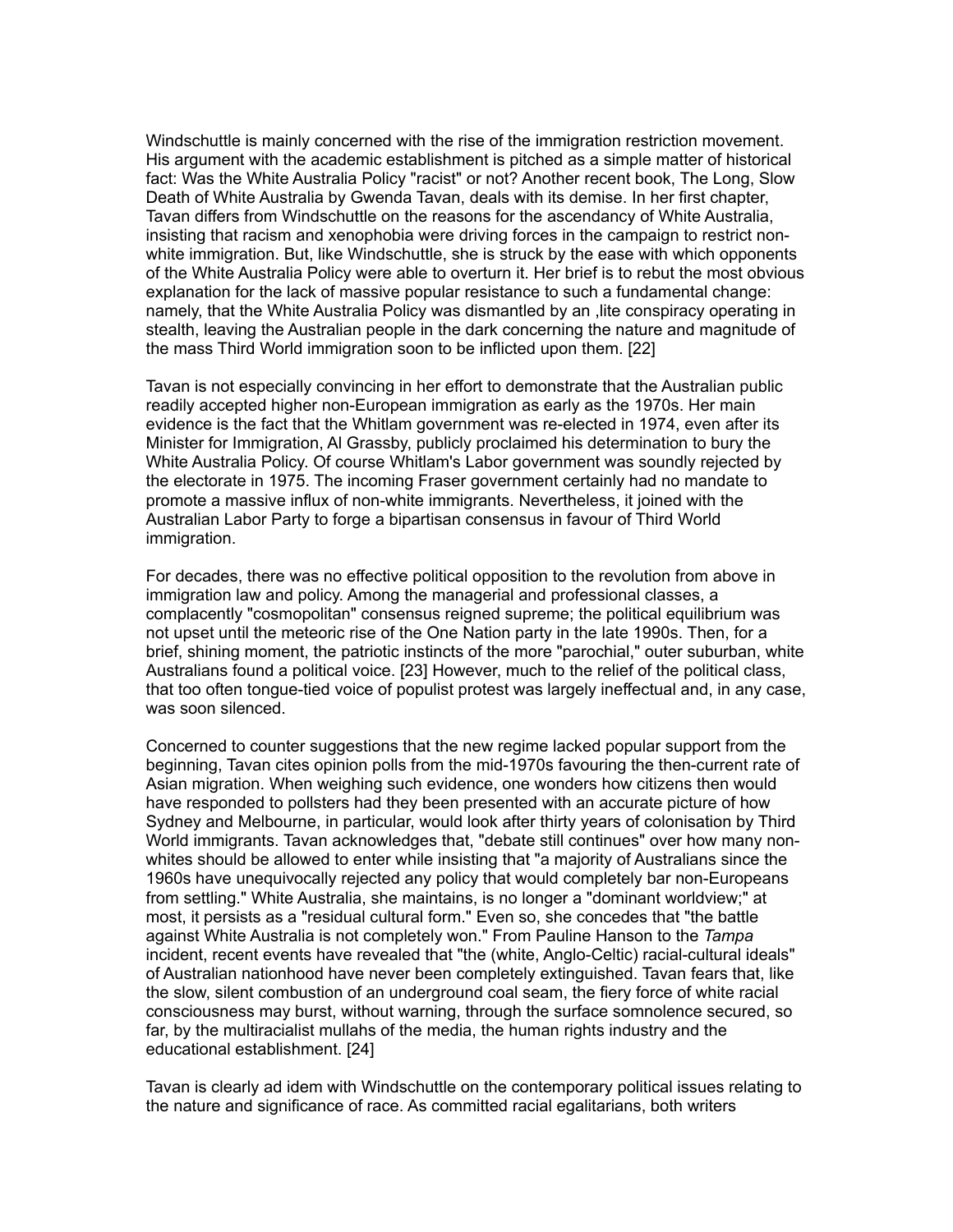Windschuttle is mainly concerned with the rise of the immigration restriction movement. His argument with the academic establishment is pitched as a simple matter of historical fact: Was the White Australia Policy "racist" or not? Another recent book, The Long, Slow Death of White Australia by Gwenda Tavan, deals with its demise. In her first chapter, Tavan differs from Windschuttle on the reasons for the ascendancy of White Australia, insisting that racism and xenophobia were driving forces in the campaign to restrict nonwhite immigration. But, like Windschuttle, she is struck by the ease with which opponents of the White Australia Policy were able to overturn it. Her brief is to rebut the most obvious explanation for the lack of massive popular resistance to such a fundamental change: namely, that the White Australia Policy was dismantled by an ,lite conspiracy operating in stealth, leaving the Australian people in the dark concerning the nature and magnitude of the mass Third World immigration soon to be inflicted upon them. [22]

Tavan is not especially convincing in her effort to demonstrate that the Australian public readily accepted higher non-European immigration as early as the 1970s. Her main evidence is the fact that the Whitlam government was re-elected in 1974, even after its Minister for Immigration, Al Grassby, publicly proclaimed his determination to bury the White Australia Policy. Of course Whitlam's Labor government was soundly rejected by the electorate in 1975. The incoming Fraser government certainly had no mandate to promote a massive influx of non-white immigrants. Nevertheless, it joined with the Australian Labor Party to forge a bipartisan consensus in favour of Third World immigration.

For decades, there was no effective political opposition to the revolution from above in immigration law and policy. Among the managerial and professional classes, a complacently "cosmopolitan" consensus reigned supreme; the political equilibrium was not upset until the meteoric rise of the One Nation party in the late 1990s. Then, for a brief, shining moment, the patriotic instincts of the more "parochial," outer suburban, white Australians found a political voice. [23] However, much to the relief of the political class, that too often tongue-tied voice of populist protest was largely ineffectual and, in any case, was soon silenced.

Concerned to counter suggestions that the new regime lacked popular support from the beginning, Tavan cites opinion polls from the mid-1970s favouring the then-current rate of Asian migration. When weighing such evidence, one wonders how citizens then would have responded to pollsters had they been presented with an accurate picture of how Sydney and Melbourne, in particular, would look after thirty years of colonisation by Third World immigrants. Tavan acknowledges that, "debate still continues" over how many nonwhites should be allowed to enter while insisting that "a majority of Australians since the 1960s have unequivocally rejected any policy that would completely bar non-Europeans from settling." White Australia, she maintains, is no longer a "dominant worldview;" at most, it persists as a "residual cultural form." Even so, she concedes that "the battle against White Australia is not completely won." From Pauline Hanson to the *Tampa* incident, recent events have revealed that "the (white, Anglo-Celtic) racial-cultural ideals" of Australian nationhood have never been completely extinguished. Tavan fears that, like the slow, silent combustion of an underground coal seam, the fiery force of white racial consciousness may burst, without warning, through the surface somnolence secured, so far, by the multiracialist mullahs of the media, the human rights industry and the educational establishment. [24]

Tavan is clearly ad idem with Windschuttle on the contemporary political issues relating to the nature and significance of race. As committed racial egalitarians, both writers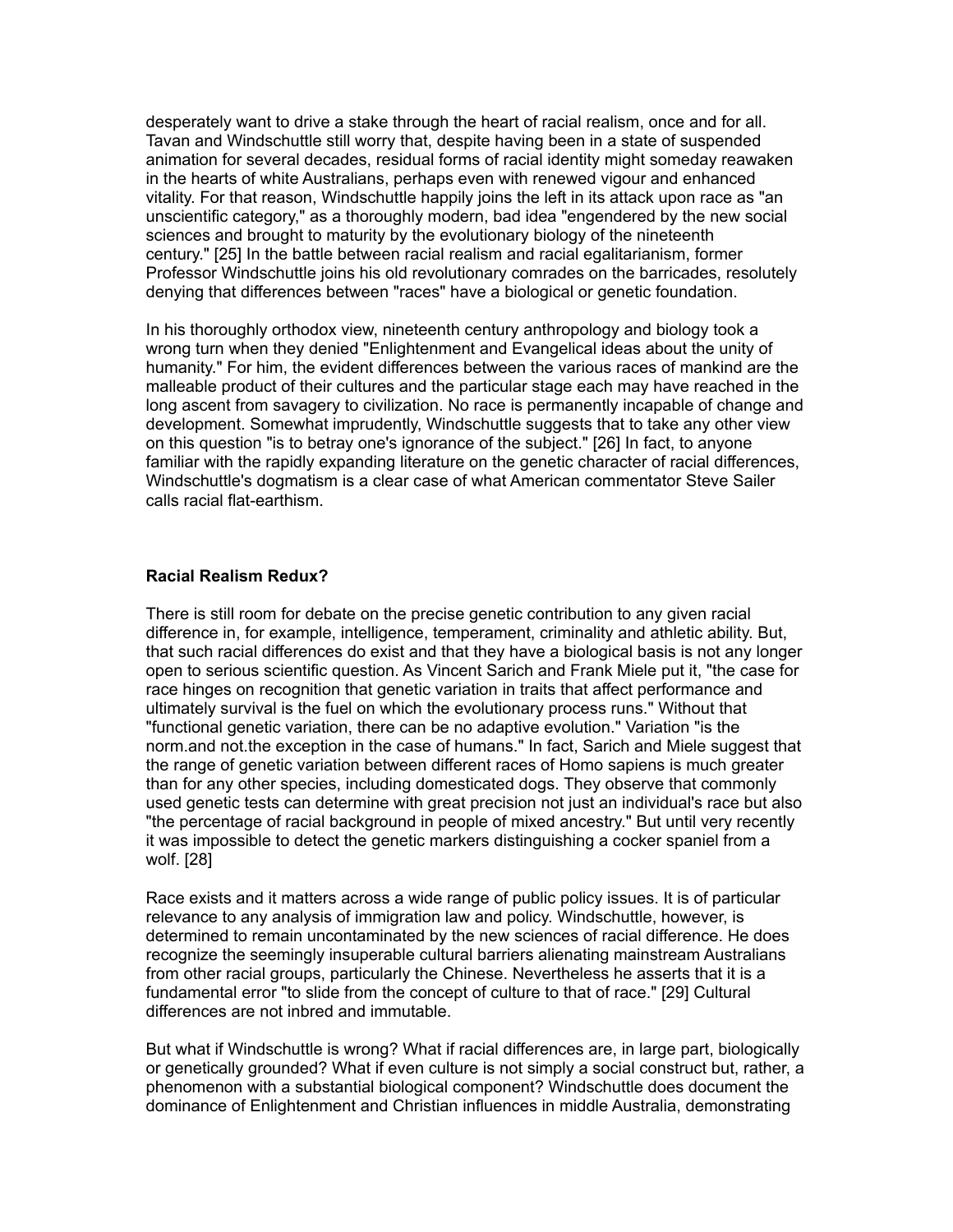desperately want to drive a stake through the heart of racial realism, once and for all. Tavan and Windschuttle still worry that, despite having been in a state of suspended animation for several decades, residual forms of racial identity might someday reawaken in the hearts of white Australians, perhaps even with renewed vigour and enhanced vitality. For that reason, Windschuttle happily joins the left in its attack upon race as "an unscientific category," as a thoroughly modern, bad idea "engendered by the new social sciences and brought to maturity by the evolutionary biology of the nineteenth century." [25] In the battle between racial realism and racial egalitarianism, former Professor Windschuttle joins his old revolutionary comrades on the barricades, resolutely denying that differences between "races" have a biological or genetic foundation.

In his thoroughly orthodox view, nineteenth century anthropology and biology took a wrong turn when they denied "Enlightenment and Evangelical ideas about the unity of humanity." For him, the evident differences between the various races of mankind are the malleable product of their cultures and the particular stage each may have reached in the long ascent from savagery to civilization. No race is permanently incapable of change and development. Somewhat imprudently, Windschuttle suggests that to take any other view on this question "is to betray one's ignorance of the subject." [26] In fact, to anyone familiar with the rapidly expanding literature on the genetic character of racial differences, Windschuttle's dogmatism is a clear case of what American commentator Steve Sailer calls racial flat-earthism.

### **Racial Realism Redux?**

There is still room for debate on the precise genetic contribution to any given racial difference in, for example, intelligence, temperament, criminality and athletic ability. But, that such racial differences do exist and that they have a biological basis is not any longer open to serious scientific question. As Vincent Sarich and Frank Miele put it, "the case for race hinges on recognition that genetic variation in traits that affect performance and ultimately survival is the fuel on which the evolutionary process runs." Without that "functional genetic variation, there can be no adaptive evolution." Variation "is the norm.and not.the exception in the case of humans." In fact, Sarich and Miele suggest that the range of genetic variation between different races of Homo sapiens is much greater than for any other species, including domesticated dogs. They observe that commonly used genetic tests can determine with great precision not just an individual's race but also "the percentage of racial background in people of mixed ancestry." But until very recently it was impossible to detect the genetic markers distinguishing a cocker spaniel from a wolf. [28]

Race exists and it matters across a wide range of public policy issues. It is of particular relevance to any analysis of immigration law and policy. Windschuttle, however, is determined to remain uncontaminated by the new sciences of racial difference. He does recognize the seemingly insuperable cultural barriers alienating mainstream Australians from other racial groups, particularly the Chinese. Nevertheless he asserts that it is a fundamental error "to slide from the concept of culture to that of race." [29] Cultural differences are not inbred and immutable.

But what if Windschuttle is wrong? What if racial differences are, in large part, biologically or genetically grounded? What if even culture is not simply a social construct but, rather, a phenomenon with a substantial biological component? Windschuttle does document the dominance of Enlightenment and Christian influences in middle Australia, demonstrating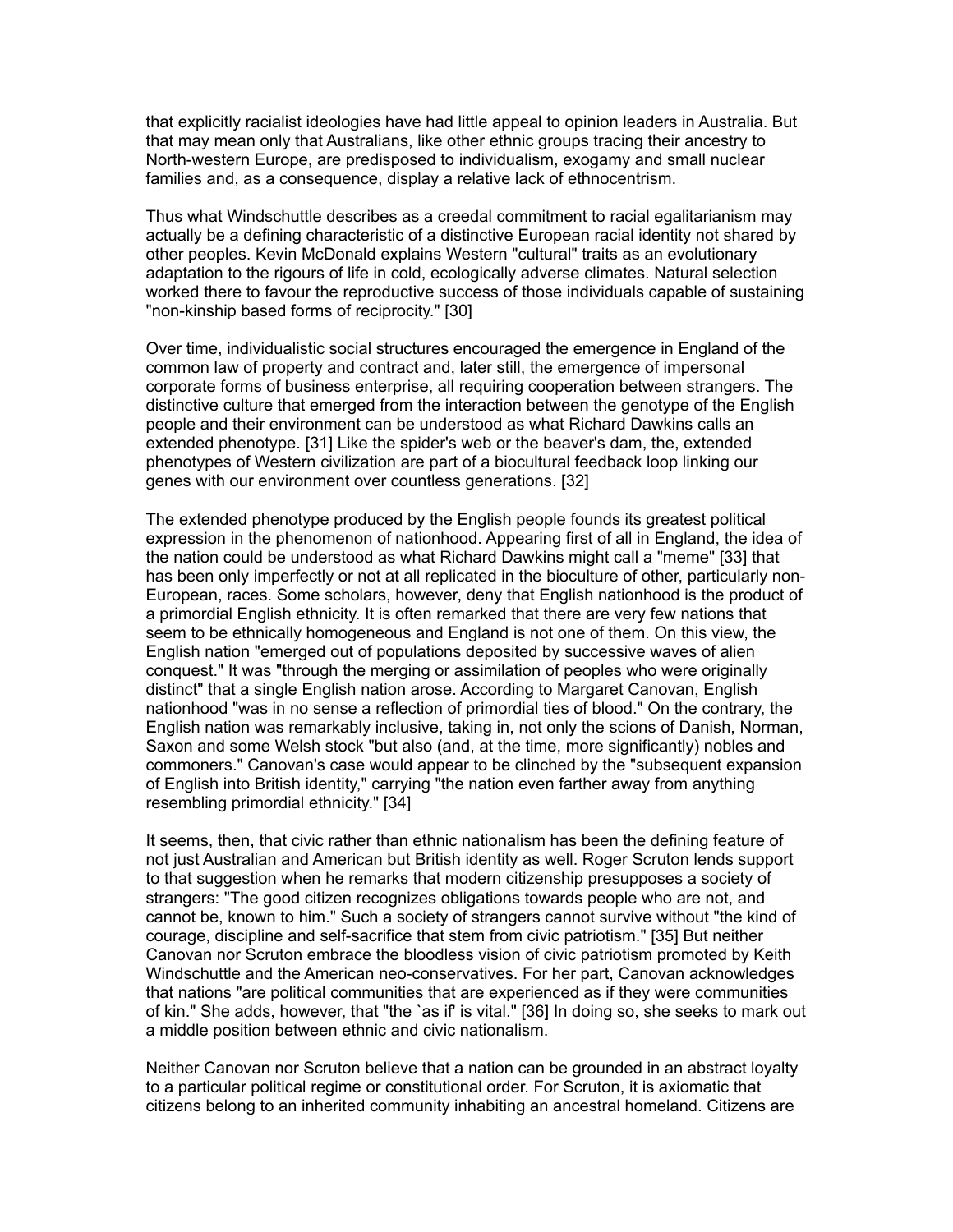that explicitly racialist ideologies have had little appeal to opinion leaders in Australia. But that may mean only that Australians, like other ethnic groups tracing their ancestry to North-western Europe, are predisposed to individualism, exogamy and small nuclear families and, as a consequence, display a relative lack of ethnocentrism.

Thus what Windschuttle describes as a creedal commitment to racial egalitarianism may actually be a defining characteristic of a distinctive European racial identity not shared by other peoples. Kevin McDonald explains Western "cultural" traits as an evolutionary adaptation to the rigours of life in cold, ecologically adverse climates. Natural selection worked there to favour the reproductive success of those individuals capable of sustaining "non-kinship based forms of reciprocity." [30]

Over time, individualistic social structures encouraged the emergence in England of the common law of property and contract and, later still, the emergence of impersonal corporate forms of business enterprise, all requiring cooperation between strangers. The distinctive culture that emerged from the interaction between the genotype of the English people and their environment can be understood as what Richard Dawkins calls an extended phenotype. [31] Like the spider's web or the beaver's dam, the, extended phenotypes of Western civilization are part of a biocultural feedback loop linking our genes with our environment over countless generations. [32]

The extended phenotype produced by the English people founds its greatest political expression in the phenomenon of nationhood. Appearing first of all in England, the idea of the nation could be understood as what Richard Dawkins might call a "meme" [33] that has been only imperfectly or not at all replicated in the bioculture of other, particularly non-European, races. Some scholars, however, deny that English nationhood is the product of a primordial English ethnicity. It is often remarked that there are very few nations that seem to be ethnically homogeneous and England is not one of them. On this view, the English nation "emerged out of populations deposited by successive waves of alien conquest." It was "through the merging or assimilation of peoples who were originally distinct" that a single English nation arose. According to Margaret Canovan, English nationhood "was in no sense a reflection of primordial ties of blood." On the contrary, the English nation was remarkably inclusive, taking in, not only the scions of Danish, Norman, Saxon and some Welsh stock "but also (and, at the time, more significantly) nobles and commoners." Canovan's case would appear to be clinched by the "subsequent expansion of English into British identity," carrying "the nation even farther away from anything resembling primordial ethnicity." [34]

It seems, then, that civic rather than ethnic nationalism has been the defining feature of not just Australian and American but British identity as well. Roger Scruton lends support to that suggestion when he remarks that modern citizenship presupposes a society of strangers: "The good citizen recognizes obligations towards people who are not, and cannot be, known to him." Such a society of strangers cannot survive without "the kind of courage, discipline and self-sacrifice that stem from civic patriotism." [35] But neither Canovan nor Scruton embrace the bloodless vision of civic patriotism promoted by Keith Windschuttle and the American neo-conservatives. For her part, Canovan acknowledges that nations "are political communities that are experienced as if they were communities of kin." She adds, however, that "the `as if' is vital." [36] In doing so, she seeks to mark out a middle position between ethnic and civic nationalism.

Neither Canovan nor Scruton believe that a nation can be grounded in an abstract loyalty to a particular political regime or constitutional order. For Scruton, it is axiomatic that citizens belong to an inherited community inhabiting an ancestral homeland. Citizens are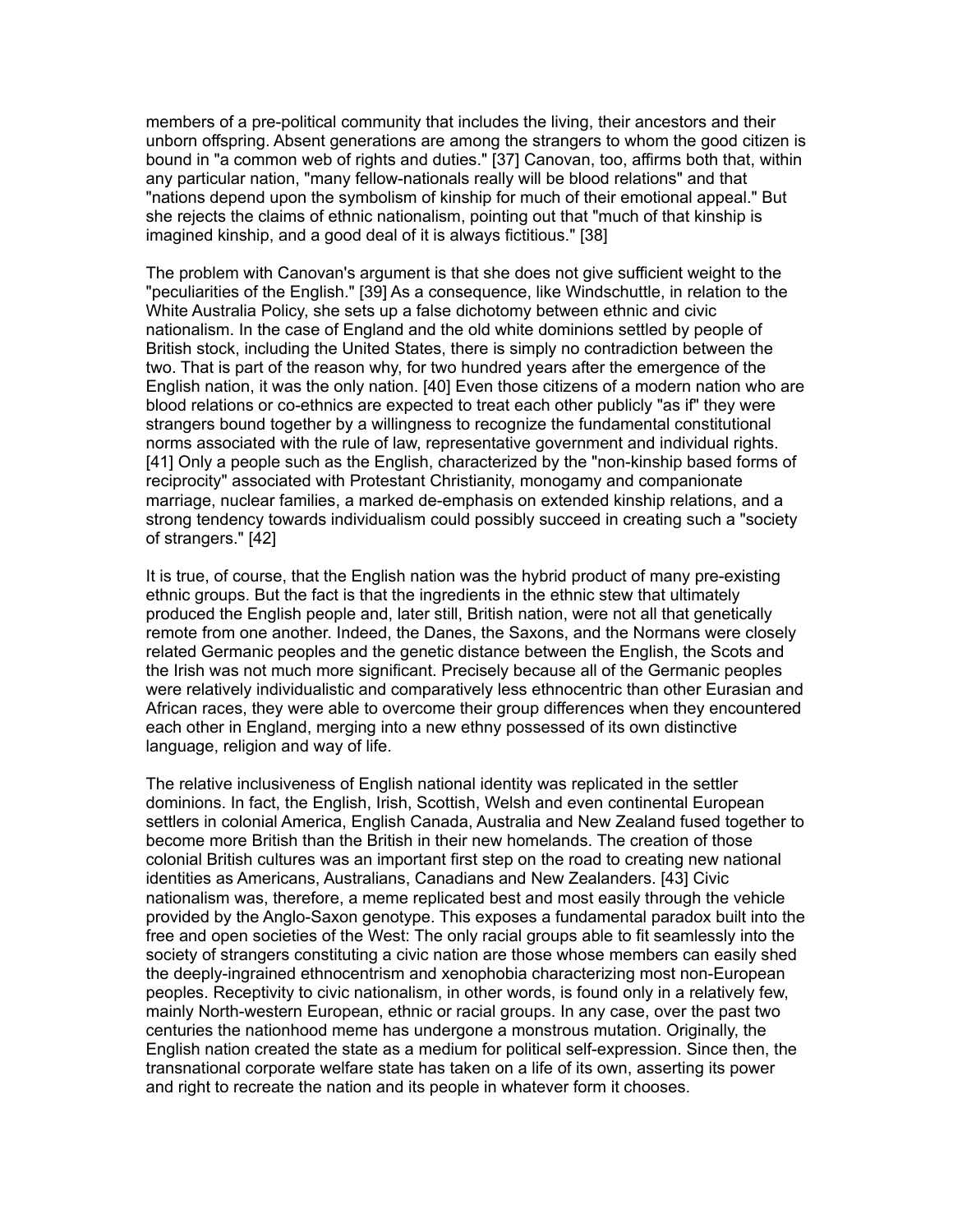members of a pre-political community that includes the living, their ancestors and their unborn offspring. Absent generations are among the strangers to whom the good citizen is bound in "a common web of rights and duties." [37] Canovan, too, affirms both that, within any particular nation, "many fellow-nationals really will be blood relations" and that "nations depend upon the symbolism of kinship for much of their emotional appeal." But she rejects the claims of ethnic nationalism, pointing out that "much of that kinship is imagined kinship, and a good deal of it is always fictitious." [38]

The problem with Canovan's argument is that she does not give sufficient weight to the "peculiarities of the English." [39] As a consequence, like Windschuttle, in relation to the White Australia Policy, she sets up a false dichotomy between ethnic and civic nationalism. In the case of England and the old white dominions settled by people of British stock, including the United States, there is simply no contradiction between the two. That is part of the reason why, for two hundred years after the emergence of the English nation, it was the only nation. [40] Even those citizens of a modern nation who are blood relations or co-ethnics are expected to treat each other publicly "as if" they were strangers bound together by a willingness to recognize the fundamental constitutional norms associated with the rule of law, representative government and individual rights. [41] Only a people such as the English, characterized by the "non-kinship based forms of reciprocity" associated with Protestant Christianity, monogamy and companionate marriage, nuclear families, a marked de-emphasis on extended kinship relations, and a strong tendency towards individualism could possibly succeed in creating such a "society of strangers." [42]

It is true, of course, that the English nation was the hybrid product of many pre-existing ethnic groups. But the fact is that the ingredients in the ethnic stew that ultimately produced the English people and, later still, British nation, were not all that genetically remote from one another. Indeed, the Danes, the Saxons, and the Normans were closely related Germanic peoples and the genetic distance between the English, the Scots and the Irish was not much more significant. Precisely because all of the Germanic peoples were relatively individualistic and comparatively less ethnocentric than other Eurasian and African races, they were able to overcome their group differences when they encountered each other in England, merging into a new ethny possessed of its own distinctive language, religion and way of life.

The relative inclusiveness of English national identity was replicated in the settler dominions. In fact, the English, Irish, Scottish, Welsh and even continental European settlers in colonial America, English Canada, Australia and New Zealand fused together to become more British than the British in their new homelands. The creation of those colonial British cultures was an important first step on the road to creating new national identities as Americans, Australians, Canadians and New Zealanders. [43] Civic nationalism was, therefore, a meme replicated best and most easily through the vehicle provided by the Anglo-Saxon genotype. This exposes a fundamental paradox built into the free and open societies of the West: The only racial groups able to fit seamlessly into the society of strangers constituting a civic nation are those whose members can easily shed the deeply-ingrained ethnocentrism and xenophobia characterizing most non-European peoples. Receptivity to civic nationalism, in other words, is found only in a relatively few, mainly North-western European, ethnic or racial groups. In any case, over the past two centuries the nationhood meme has undergone a monstrous mutation. Originally, the English nation created the state as a medium for political self-expression. Since then, the transnational corporate welfare state has taken on a life of its own, asserting its power and right to recreate the nation and its people in whatever form it chooses.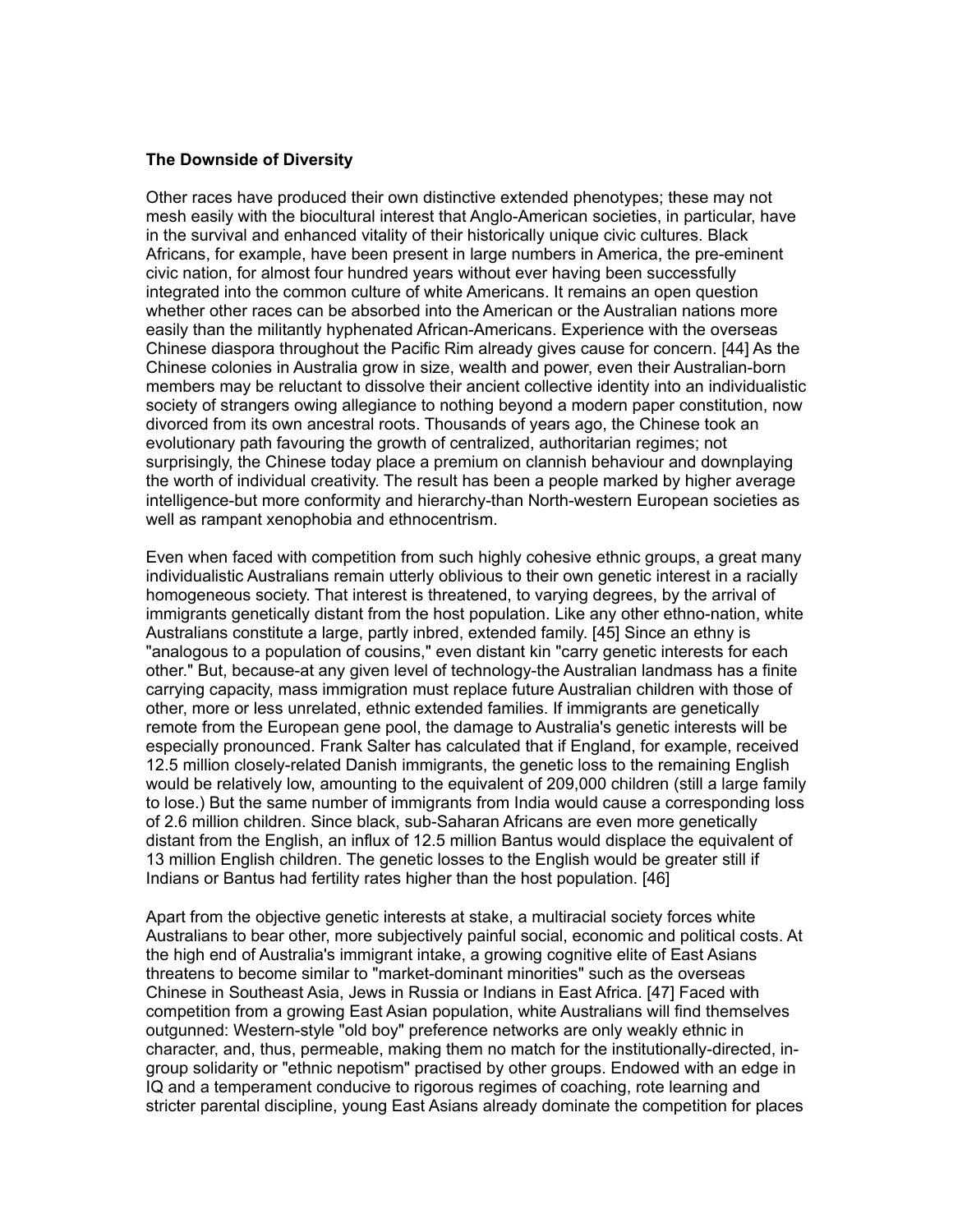#### **The Downside of Diversity**

Other races have produced their own distinctive extended phenotypes; these may not mesh easily with the biocultural interest that Anglo-American societies, in particular, have in the survival and enhanced vitality of their historically unique civic cultures. Black Africans, for example, have been present in large numbers in America, the pre-eminent civic nation, for almost four hundred years without ever having been successfully integrated into the common culture of white Americans. It remains an open question whether other races can be absorbed into the American or the Australian nations more easily than the militantly hyphenated African-Americans. Experience with the overseas Chinese diaspora throughout the Pacific Rim already gives cause for concern. [44] As the Chinese colonies in Australia grow in size, wealth and power, even their Australian-born members may be reluctant to dissolve their ancient collective identity into an individualistic society of strangers owing allegiance to nothing beyond a modern paper constitution, now divorced from its own ancestral roots. Thousands of years ago, the Chinese took an evolutionary path favouring the growth of centralized, authoritarian regimes; not surprisingly, the Chinese today place a premium on clannish behaviour and downplaying the worth of individual creativity. The result has been a people marked by higher average intelligence-but more conformity and hierarchy-than North-western European societies as well as rampant xenophobia and ethnocentrism.

Even when faced with competition from such highly cohesive ethnic groups, a great many individualistic Australians remain utterly oblivious to their own genetic interest in a racially homogeneous society. That interest is threatened, to varying degrees, by the arrival of immigrants genetically distant from the host population. Like any other ethno-nation, white Australians constitute a large, partly inbred, extended family. [45] Since an ethny is "analogous to a population of cousins," even distant kin "carry genetic interests for each other." But, because-at any given level of technology-the Australian landmass has a finite carrying capacity, mass immigration must replace future Australian children with those of other, more or less unrelated, ethnic extended families. If immigrants are genetically remote from the European gene pool, the damage to Australia's genetic interests will be especially pronounced. Frank Salter has calculated that if England, for example, received 12.5 million closely-related Danish immigrants, the genetic loss to the remaining English would be relatively low, amounting to the equivalent of 209,000 children (still a large family to lose.) But the same number of immigrants from India would cause a corresponding loss of 2.6 million children. Since black, sub-Saharan Africans are even more genetically distant from the English, an influx of 12.5 million Bantus would displace the equivalent of 13 million English children. The genetic losses to the English would be greater still if Indians or Bantus had fertility rates higher than the host population. [46]

Apart from the objective genetic interests at stake, a multiracial society forces white Australians to bear other, more subjectively painful social, economic and political costs. At the high end of Australia's immigrant intake, a growing cognitive elite of East Asians threatens to become similar to "market-dominant minorities" such as the overseas Chinese in Southeast Asia, Jews in Russia or Indians in East Africa. [47] Faced with competition from a growing East Asian population, white Australians will find themselves outgunned: Western-style "old boy" preference networks are only weakly ethnic in character, and, thus, permeable, making them no match for the institutionally-directed, ingroup solidarity or "ethnic nepotism" practised by other groups. Endowed with an edge in IQ and a temperament conducive to rigorous regimes of coaching, rote learning and stricter parental discipline, young East Asians already dominate the competition for places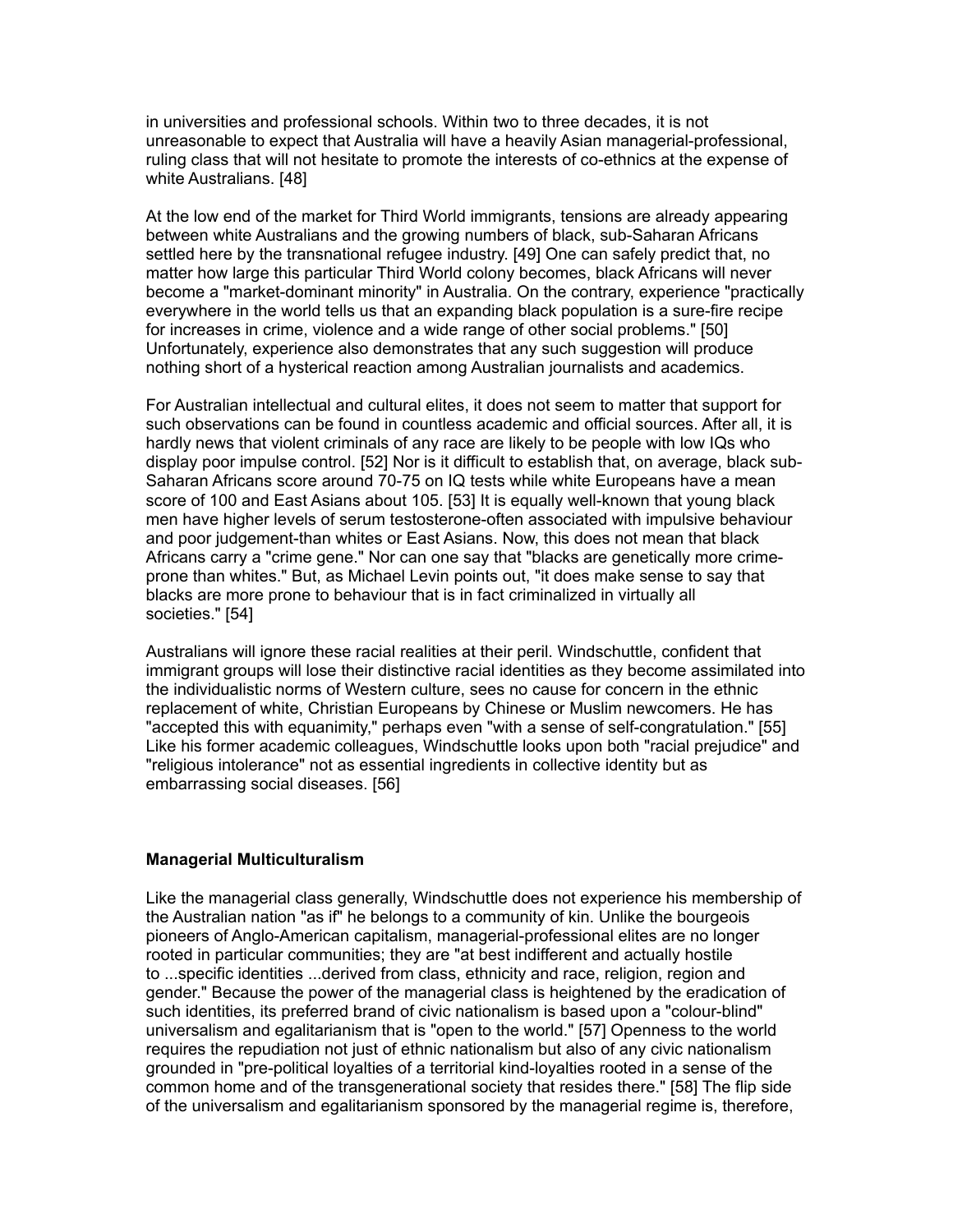in universities and professional schools. Within two to three decades, it is not unreasonable to expect that Australia will have a heavily Asian managerial-professional, ruling class that will not hesitate to promote the interests of co-ethnics at the expense of white Australians. [48]

At the low end of the market for Third World immigrants, tensions are already appearing between white Australians and the growing numbers of black, sub-Saharan Africans settled here by the transnational refugee industry. [49] One can safely predict that, no matter how large this particular Third World colony becomes, black Africans will never become a "market-dominant minority" in Australia. On the contrary, experience "practically everywhere in the world tells us that an expanding black population is a sure-fire recipe for increases in crime, violence and a wide range of other social problems." [50] Unfortunately, experience also demonstrates that any such suggestion will produce nothing short of a hysterical reaction among Australian journalists and academics.

For Australian intellectual and cultural elites, it does not seem to matter that support for such observations can be found in countless academic and official sources. After all, it is hardly news that violent criminals of any race are likely to be people with low IQs who display poor impulse control. [52] Nor is it difficult to establish that, on average, black sub-Saharan Africans score around 70-75 on IQ tests while white Europeans have a mean score of 100 and East Asians about 105. [53] It is equally well-known that young black men have higher levels of serum testosterone-often associated with impulsive behaviour and poor judgement-than whites or East Asians. Now, this does not mean that black Africans carry a "crime gene." Nor can one say that "blacks are genetically more crimeprone than whites." But, as Michael Levin points out, "it does make sense to say that blacks are more prone to behaviour that is in fact criminalized in virtually all societies." [54]

Australians will ignore these racial realities at their peril. Windschuttle, confident that immigrant groups will lose their distinctive racial identities as they become assimilated into the individualistic norms of Western culture, sees no cause for concern in the ethnic replacement of white, Christian Europeans by Chinese or Muslim newcomers. He has "accepted this with equanimity," perhaps even "with a sense of self-congratulation." [55] Like his former academic colleagues, Windschuttle looks upon both "racial prejudice" and "religious intolerance" not as essential ingredients in collective identity but as embarrassing social diseases. [56]

## **Managerial Multiculturalism**

Like the managerial class generally, Windschuttle does not experience his membership of the Australian nation "as if" he belongs to a community of kin. Unlike the bourgeois pioneers of Anglo-American capitalism, managerial-professional elites are no longer rooted in particular communities; they are "at best indifferent and actually hostile to ...specific identities ...derived from class, ethnicity and race, religion, region and gender." Because the power of the managerial class is heightened by the eradication of such identities, its preferred brand of civic nationalism is based upon a "colour-blind" universalism and egalitarianism that is "open to the world." [57] Openness to the world requires the repudiation not just of ethnic nationalism but also of any civic nationalism grounded in "pre-political loyalties of a territorial kind-loyalties rooted in a sense of the common home and of the transgenerational society that resides there." [58] The flip side of the universalism and egalitarianism sponsored by the managerial regime is, therefore,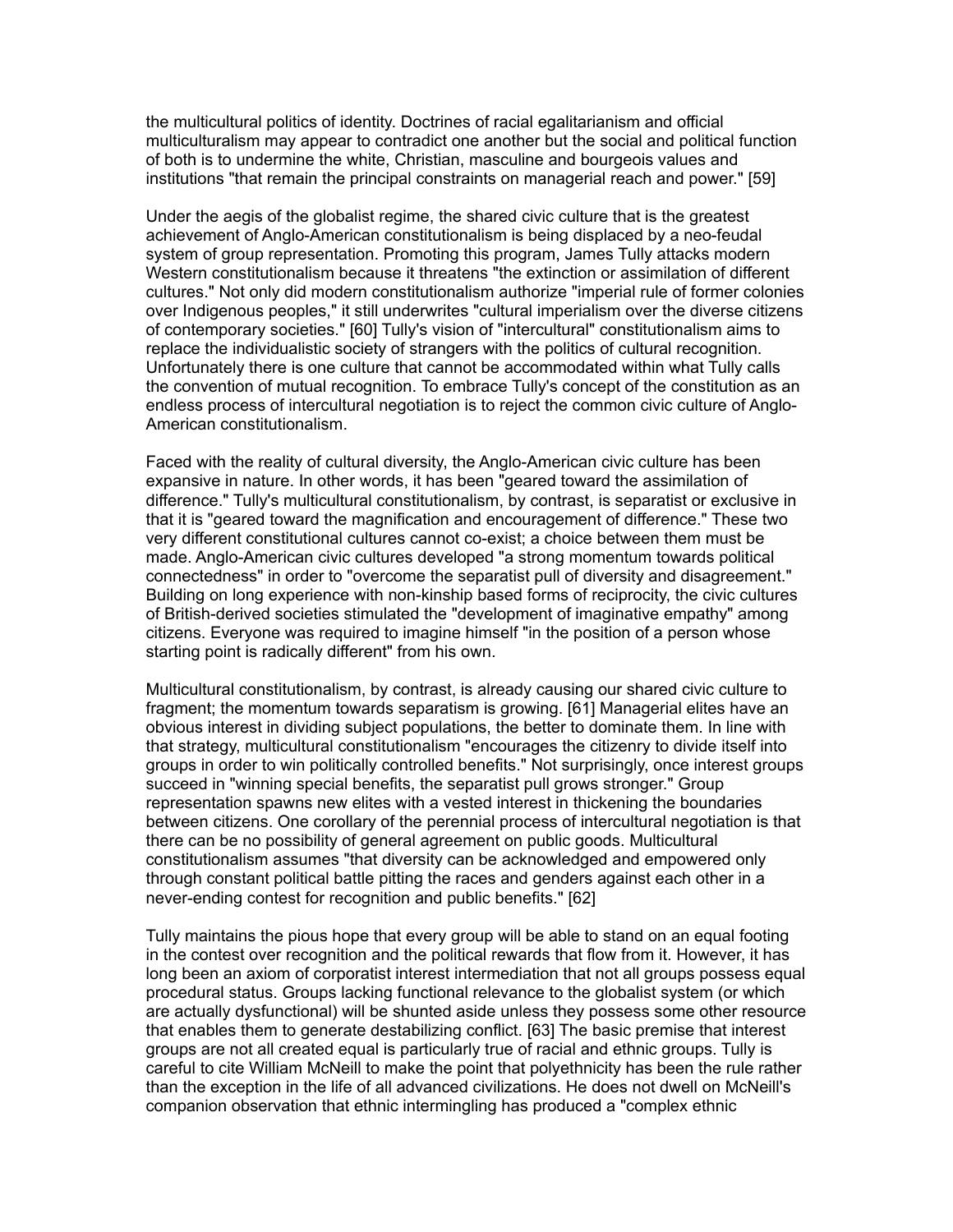the multicultural politics of identity. Doctrines of racial egalitarianism and official multiculturalism may appear to contradict one another but the social and political function of both is to undermine the white, Christian, masculine and bourgeois values and institutions "that remain the principal constraints on managerial reach and power." [59]

Under the aegis of the globalist regime, the shared civic culture that is the greatest achievement of Anglo-American constitutionalism is being displaced by a neo-feudal system of group representation. Promoting this program, James Tully attacks modern Western constitutionalism because it threatens "the extinction or assimilation of different cultures." Not only did modern constitutionalism authorize "imperial rule of former colonies over Indigenous peoples," it still underwrites "cultural imperialism over the diverse citizens of contemporary societies." [60] Tully's vision of "intercultural" constitutionalism aims to replace the individualistic society of strangers with the politics of cultural recognition. Unfortunately there is one culture that cannot be accommodated within what Tully calls the convention of mutual recognition. To embrace Tully's concept of the constitution as an endless process of intercultural negotiation is to reject the common civic culture of Anglo-American constitutionalism.

Faced with the reality of cultural diversity, the Anglo-American civic culture has been expansive in nature. In other words, it has been "geared toward the assimilation of difference." Tully's multicultural constitutionalism, by contrast, is separatist or exclusive in that it is "geared toward the magnification and encouragement of difference." These two very different constitutional cultures cannot co-exist; a choice between them must be made. Anglo-American civic cultures developed "a strong momentum towards political connectedness" in order to "overcome the separatist pull of diversity and disagreement." Building on long experience with non-kinship based forms of reciprocity, the civic cultures of British-derived societies stimulated the "development of imaginative empathy" among citizens. Everyone was required to imagine himself "in the position of a person whose starting point is radically different" from his own.

Multicultural constitutionalism, by contrast, is already causing our shared civic culture to fragment; the momentum towards separatism is growing. [61] Managerial elites have an obvious interest in dividing subject populations, the better to dominate them. In line with that strategy, multicultural constitutionalism "encourages the citizenry to divide itself into groups in order to win politically controlled benefits." Not surprisingly, once interest groups succeed in "winning special benefits, the separatist pull grows stronger." Group representation spawns new elites with a vested interest in thickening the boundaries between citizens. One corollary of the perennial process of intercultural negotiation is that there can be no possibility of general agreement on public goods. Multicultural constitutionalism assumes "that diversity can be acknowledged and empowered only through constant political battle pitting the races and genders against each other in a never-ending contest for recognition and public benefits." [62]

Tully maintains the pious hope that every group will be able to stand on an equal footing in the contest over recognition and the political rewards that flow from it. However, it has long been an axiom of corporatist interest intermediation that not all groups possess equal procedural status. Groups lacking functional relevance to the globalist system (or which are actually dysfunctional) will be shunted aside unless they possess some other resource that enables them to generate destabilizing conflict. [63] The basic premise that interest groups are not all created equal is particularly true of racial and ethnic groups. Tully is careful to cite William McNeill to make the point that polyethnicity has been the rule rather than the exception in the life of all advanced civilizations. He does not dwell on McNeill's companion observation that ethnic intermingling has produced a "complex ethnic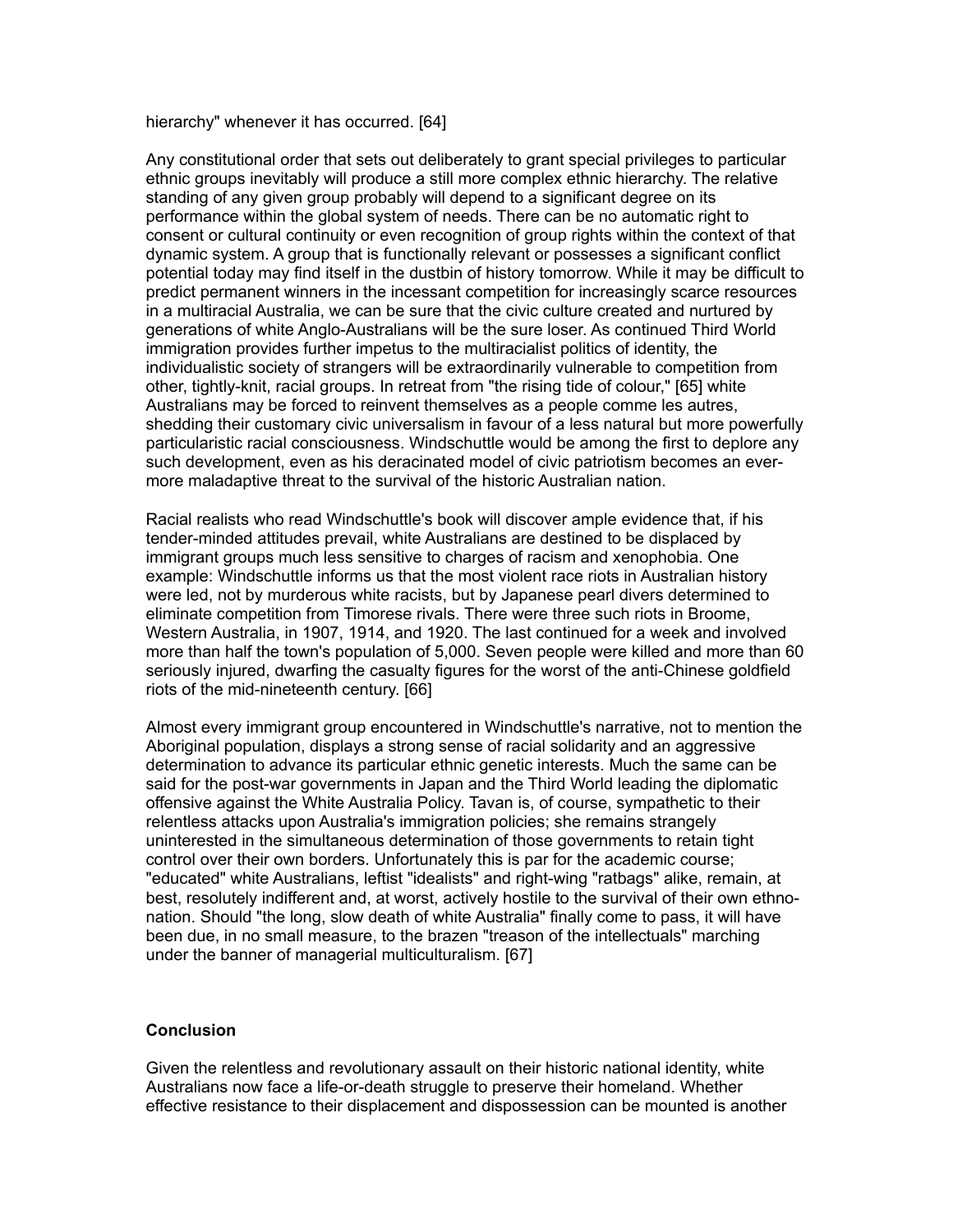hierarchy" whenever it has occurred. [64]

Any constitutional order that sets out deliberately to grant special privileges to particular ethnic groups inevitably will produce a still more complex ethnic hierarchy. The relative standing of any given group probably will depend to a significant degree on its performance within the global system of needs. There can be no automatic right to consent or cultural continuity or even recognition of group rights within the context of that dynamic system. A group that is functionally relevant or possesses a significant conflict potential today may find itself in the dustbin of history tomorrow. While it may be difficult to predict permanent winners in the incessant competition for increasingly scarce resources in a multiracial Australia, we can be sure that the civic culture created and nurtured by generations of white Anglo-Australians will be the sure loser. As continued Third World immigration provides further impetus to the multiracialist politics of identity, the individualistic society of strangers will be extraordinarily vulnerable to competition from other, tightly-knit, racial groups. In retreat from "the rising tide of colour," [65] white Australians may be forced to reinvent themselves as a people comme les autres, shedding their customary civic universalism in favour of a less natural but more powerfully particularistic racial consciousness. Windschuttle would be among the first to deplore any such development, even as his deracinated model of civic patriotism becomes an evermore maladaptive threat to the survival of the historic Australian nation.

Racial realists who read Windschuttle's book will discover ample evidence that, if his tender-minded attitudes prevail, white Australians are destined to be displaced by immigrant groups much less sensitive to charges of racism and xenophobia. One example: Windschuttle informs us that the most violent race riots in Australian history were led, not by murderous white racists, but by Japanese pearl divers determined to eliminate competition from Timorese rivals. There were three such riots in Broome, Western Australia, in 1907, 1914, and 1920. The last continued for a week and involved more than half the town's population of 5,000. Seven people were killed and more than 60 seriously injured, dwarfing the casualty figures for the worst of the anti-Chinese goldfield riots of the mid-nineteenth century. [66]

Almost every immigrant group encountered in Windschuttle's narrative, not to mention the Aboriginal population, displays a strong sense of racial solidarity and an aggressive determination to advance its particular ethnic genetic interests. Much the same can be said for the post-war governments in Japan and the Third World leading the diplomatic offensive against the White Australia Policy. Tavan is, of course, sympathetic to their relentless attacks upon Australia's immigration policies; she remains strangely uninterested in the simultaneous determination of those governments to retain tight control over their own borders. Unfortunately this is par for the academic course; "educated" white Australians, leftist "idealists" and right-wing "ratbags" alike, remain, at best, resolutely indifferent and, at worst, actively hostile to the survival of their own ethnonation. Should "the long, slow death of white Australia" finally come to pass, it will have been due, in no small measure, to the brazen "treason of the intellectuals" marching under the banner of managerial multiculturalism. [67]

## **Conclusion**

Given the relentless and revolutionary assault on their historic national identity, white Australians now face a life-or-death struggle to preserve their homeland. Whether effective resistance to their displacement and dispossession can be mounted is another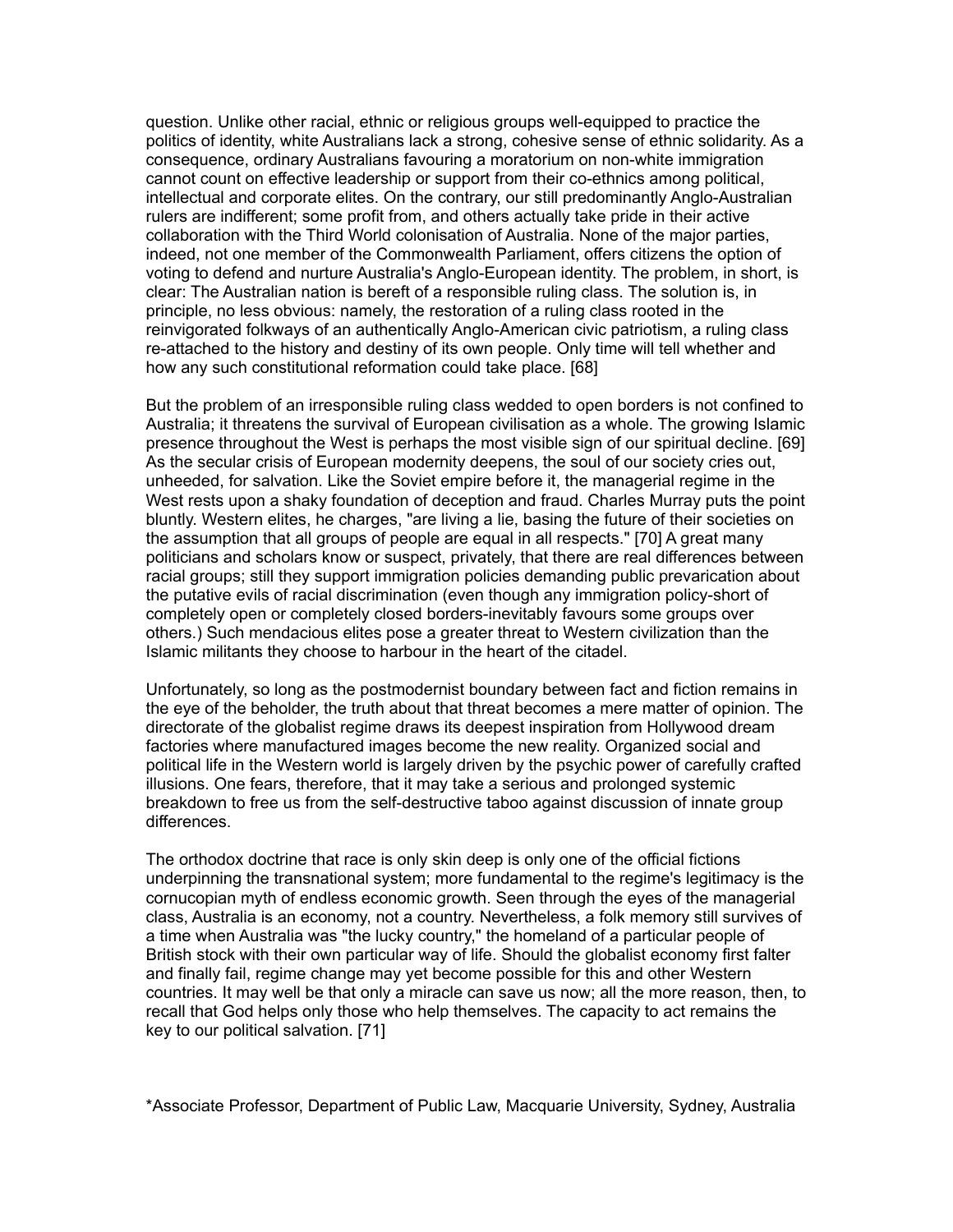question. Unlike other racial, ethnic or religious groups well-equipped to practice the politics of identity, white Australians lack a strong, cohesive sense of ethnic solidarity. As a consequence, ordinary Australians favouring a moratorium on non-white immigration cannot count on effective leadership or support from their co-ethnics among political, intellectual and corporate elites. On the contrary, our still predominantly Anglo-Australian rulers are indifferent; some profit from, and others actually take pride in their active collaboration with the Third World colonisation of Australia. None of the major parties, indeed, not one member of the Commonwealth Parliament, offers citizens the option of voting to defend and nurture Australia's Anglo-European identity. The problem, in short, is clear: The Australian nation is bereft of a responsible ruling class. The solution is, in principle, no less obvious: namely, the restoration of a ruling class rooted in the reinvigorated folkways of an authentically Anglo-American civic patriotism, a ruling class re-attached to the history and destiny of its own people. Only time will tell whether and how any such constitutional reformation could take place. [68]

But the problem of an irresponsible ruling class wedded to open borders is not confined to Australia; it threatens the survival of European civilisation as a whole. The growing Islamic presence throughout the West is perhaps the most visible sign of our spiritual decline. [69] As the secular crisis of European modernity deepens, the soul of our society cries out, unheeded, for salvation. Like the Soviet empire before it, the managerial regime in the West rests upon a shaky foundation of deception and fraud. Charles Murray puts the point bluntly. Western elites, he charges, "are living a lie, basing the future of their societies on the assumption that all groups of people are equal in all respects." [70] A great many politicians and scholars know or suspect, privately, that there are real differences between racial groups; still they support immigration policies demanding public prevarication about the putative evils of racial discrimination (even though any immigration policy-short of completely open or completely closed borders-inevitably favours some groups over others.) Such mendacious elites pose a greater threat to Western civilization than the Islamic militants they choose to harbour in the heart of the citadel.

Unfortunately, so long as the postmodernist boundary between fact and fiction remains in the eye of the beholder, the truth about that threat becomes a mere matter of opinion. The directorate of the globalist regime draws its deepest inspiration from Hollywood dream factories where manufactured images become the new reality. Organized social and political life in the Western world is largely driven by the psychic power of carefully crafted illusions. One fears, therefore, that it may take a serious and prolonged systemic breakdown to free us from the self-destructive taboo against discussion of innate group differences.

The orthodox doctrine that race is only skin deep is only one of the official fictions underpinning the transnational system; more fundamental to the regime's legitimacy is the cornucopian myth of endless economic growth. Seen through the eyes of the managerial class, Australia is an economy, not a country. Nevertheless, a folk memory still survives of a time when Australia was "the lucky country," the homeland of a particular people of British stock with their own particular way of life. Should the globalist economy first falter and finally fail, regime change may yet become possible for this and other Western countries. It may well be that only a miracle can save us now; all the more reason, then, to recall that God helps only those who help themselves. The capacity to act remains the key to our political salvation. [71]

\*Associate Professor, Department of Public Law, Macquarie University, Sydney, Australia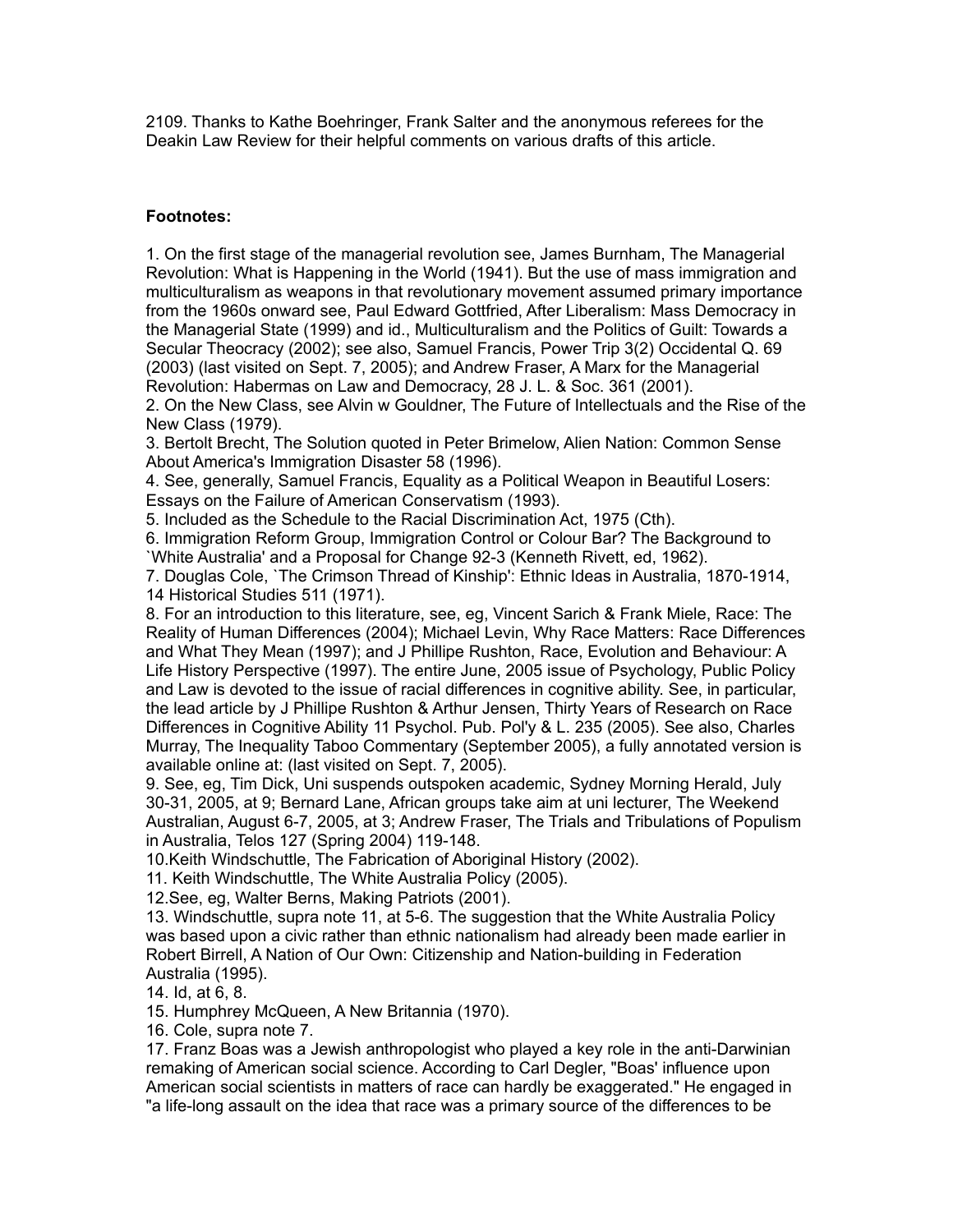2109. Thanks to Kathe Boehringer, Frank Salter and the anonymous referees for the Deakin Law Review for their helpful comments on various drafts of this article.

# **Footnotes:**

1. On the first stage of the managerial revolution see, James Burnham, The Managerial Revolution: What is Happening in the World (1941). But the use of mass immigration and multiculturalism as weapons in that revolutionary movement assumed primary importance from the 1960s onward see, Paul Edward Gottfried, After Liberalism: Mass Democracy in the Managerial State (1999) and id., Multiculturalism and the Politics of Guilt: Towards a Secular Theocracy (2002); see also, Samuel Francis, Power Trip 3(2) Occidental Q. 69 (2003) (last visited on Sept. 7, 2005); and Andrew Fraser, A Marx for the Managerial Revolution: Habermas on Law and Democracy, 28 J. L. & Soc. 361 (2001).

2. On the New Class, see Alvin w Gouldner, The Future of Intellectuals and the Rise of the New Class (1979).

3. Bertolt Brecht, The Solution quoted in Peter Brimelow, Alien Nation: Common Sense About America's Immigration Disaster 58 (1996).

4. See, generally, Samuel Francis, Equality as a Political Weapon in Beautiful Losers: Essays on the Failure of American Conservatism (1993).

5. Included as the Schedule to the Racial Discrimination Act, 1975 (Cth).

6. Immigration Reform Group, Immigration Control or Colour Bar? The Background to `White Australia' and a Proposal for Change 92-3 (Kenneth Rivett, ed, 1962).

7. Douglas Cole, `The Crimson Thread of Kinship': Ethnic Ideas in Australia, 1870-1914, 14 Historical Studies 511 (1971).

8. For an introduction to this literature, see, eg, Vincent Sarich & Frank Miele, Race: The Reality of Human Differences (2004); Michael Levin, Why Race Matters: Race Differences and What They Mean (1997); and J Phillipe Rushton, Race, Evolution and Behaviour: A Life History Perspective (1997). The entire June, 2005 issue of Psychology, Public Policy and Law is devoted to the issue of racial differences in cognitive ability. See, in particular, the lead article by J Phillipe Rushton & Arthur Jensen, Thirty Years of Research on Race Differences in Cognitive Ability 11 Psychol. Pub. Pol'y & L. 235 (2005). See also, Charles Murray, The Inequality Taboo Commentary (September 2005), a fully annotated version is available online at: (last visited on Sept. 7, 2005).

9. See, eg, Tim Dick, Uni suspends outspoken academic, Sydney Morning Herald, July 30-31, 2005, at 9; Bernard Lane, African groups take aim at uni lecturer, The Weekend Australian, August 6-7, 2005, at 3; Andrew Fraser, The Trials and Tribulations of Populism in Australia, Telos 127 (Spring 2004) 119-148.

10.Keith Windschuttle, The Fabrication of Aboriginal History (2002).

11. Keith Windschuttle, The White Australia Policy (2005).

12.See, eg, Walter Berns, Making Patriots (2001).

13. Windschuttle, supra note 11, at 5-6. The suggestion that the White Australia Policy was based upon a civic rather than ethnic nationalism had already been made earlier in Robert Birrell, A Nation of Our Own: Citizenship and Nation-building in Federation Australia (1995).

14. Id, at 6, 8.

15. Humphrey McQueen, A New Britannia (1970).

16. Cole, supra note 7.

17. Franz Boas was a Jewish anthropologist who played a key role in the anti-Darwinian remaking of American social science. According to Carl Degler, "Boas' influence upon American social scientists in matters of race can hardly be exaggerated." He engaged in "a life-long assault on the idea that race was a primary source of the differences to be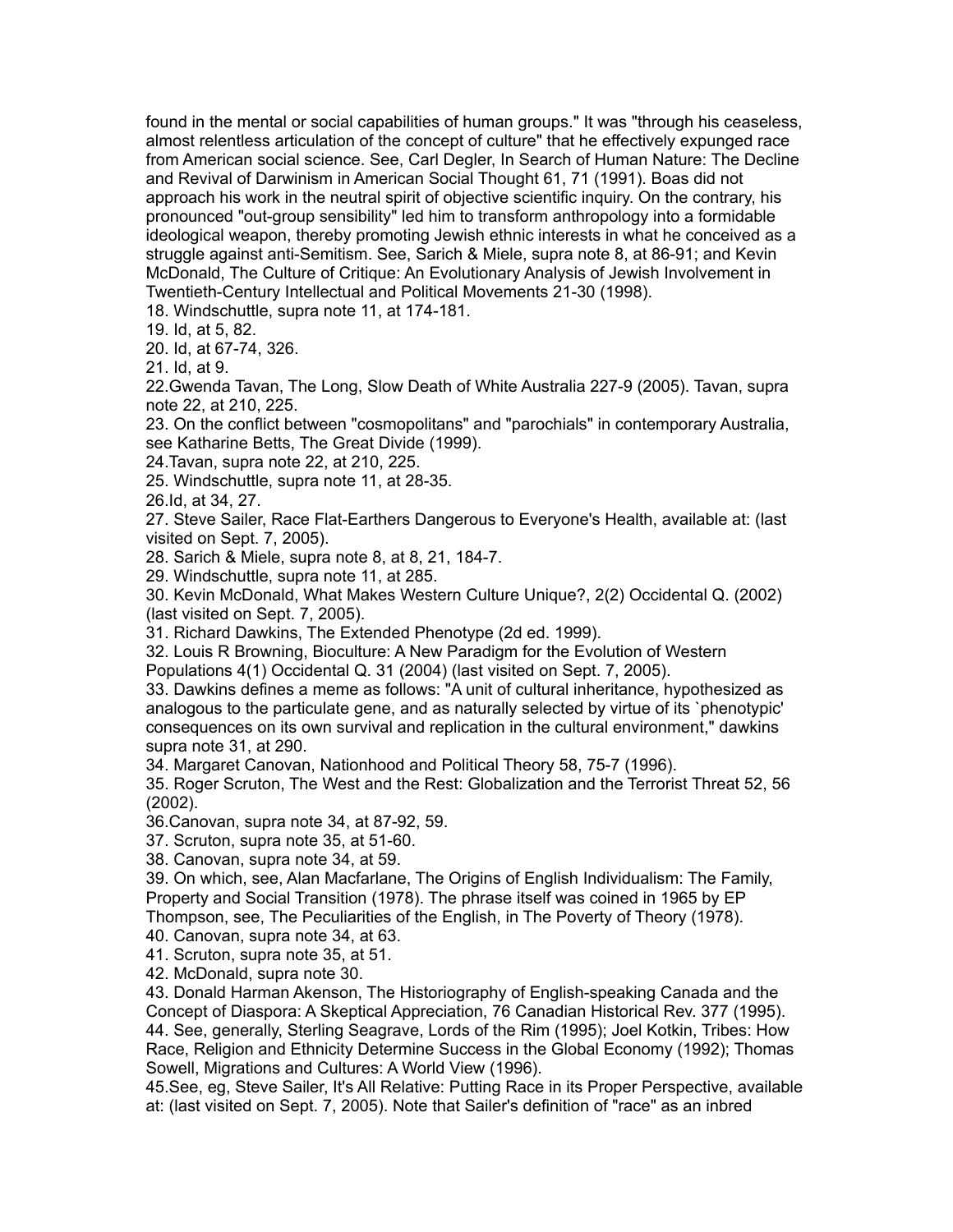found in the mental or social capabilities of human groups." It was "through his ceaseless, almost relentless articulation of the concept of culture" that he effectively expunged race from American social science. See, Carl Degler, In Search of Human Nature: The Decline and Revival of Darwinism in American Social Thought 61, 71 (1991). Boas did not approach his work in the neutral spirit of objective scientific inquiry. On the contrary, his pronounced "out-group sensibility" led him to transform anthropology into a formidable ideological weapon, thereby promoting Jewish ethnic interests in what he conceived as a struggle against anti-Semitism. See, Sarich & Miele, supra note 8, at 86-91; and Kevin McDonald, The Culture of Critique: An Evolutionary Analysis of Jewish Involvement in Twentieth-Century Intellectual and Political Movements 21-30 (1998).

18. Windschuttle, supra note 11, at 174-181.

19. Id, at 5, 82.

20. Id, at 67-74, 326.

21. Id, at 9.

22.Gwenda Tavan, The Long, Slow Death of White Australia 227-9 (2005). Tavan, supra note 22, at 210, 225.

23. On the conflict between "cosmopolitans" and "parochials" in contemporary Australia, see Katharine Betts, The Great Divide (1999).

24.Tavan, supra note 22, at 210, 225.

25. Windschuttle, supra note 11, at 28-35.

26.Id, at 34, 27.

27. Steve Sailer, Race Flat-Earthers Dangerous to Everyone's Health, available at: (last visited on Sept. 7, 2005).

28. Sarich & Miele, supra note 8, at 8, 21, 184-7.

29. Windschuttle, supra note 11, at 285.

30. Kevin McDonald, What Makes Western Culture Unique?, 2(2) Occidental Q. (2002) (last visited on Sept. 7, 2005).

31. Richard Dawkins, The Extended Phenotype (2d ed. 1999).

32. Louis R Browning, Bioculture: A New Paradigm for the Evolution of Western

Populations 4(1) Occidental Q. 31 (2004) (last visited on Sept. 7, 2005).

33. Dawkins defines a meme as follows: "A unit of cultural inheritance, hypothesized as analogous to the particulate gene, and as naturally selected by virtue of its `phenotypic' consequences on its own survival and replication in the cultural environment," dawkins supra note 31, at 290.

34. Margaret Canovan, Nationhood and Political Theory 58, 75-7 (1996).

35. Roger Scruton, The West and the Rest: Globalization and the Terrorist Threat 52, 56 (2002).

36.Canovan, supra note 34, at 87-92, 59.

37. Scruton, supra note 35, at 51-60.

38. Canovan, supra note 34, at 59.

39. On which, see, Alan Macfarlane, The Origins of English Individualism: The Family, Property and Social Transition (1978). The phrase itself was coined in 1965 by EP

Thompson, see, The Peculiarities of the English, in The Poverty of Theory (1978).

40. Canovan, supra note 34, at 63.

41. Scruton, supra note 35, at 51.

42. McDonald, supra note 30.

43. Donald Harman Akenson, The Historiography of English-speaking Canada and the Concept of Diaspora: A Skeptical Appreciation, 76 Canadian Historical Rev. 377 (1995). 44. See, generally, Sterling Seagrave, Lords of the Rim (1995); Joel Kotkin, Tribes: How Race, Religion and Ethnicity Determine Success in the Global Economy (1992); Thomas Sowell, Migrations and Cultures: A World View (1996).

45.See, eg, Steve Sailer, It's All Relative: Putting Race in its Proper Perspective, available at: (last visited on Sept. 7, 2005). Note that Sailer's definition of "race" as an inbred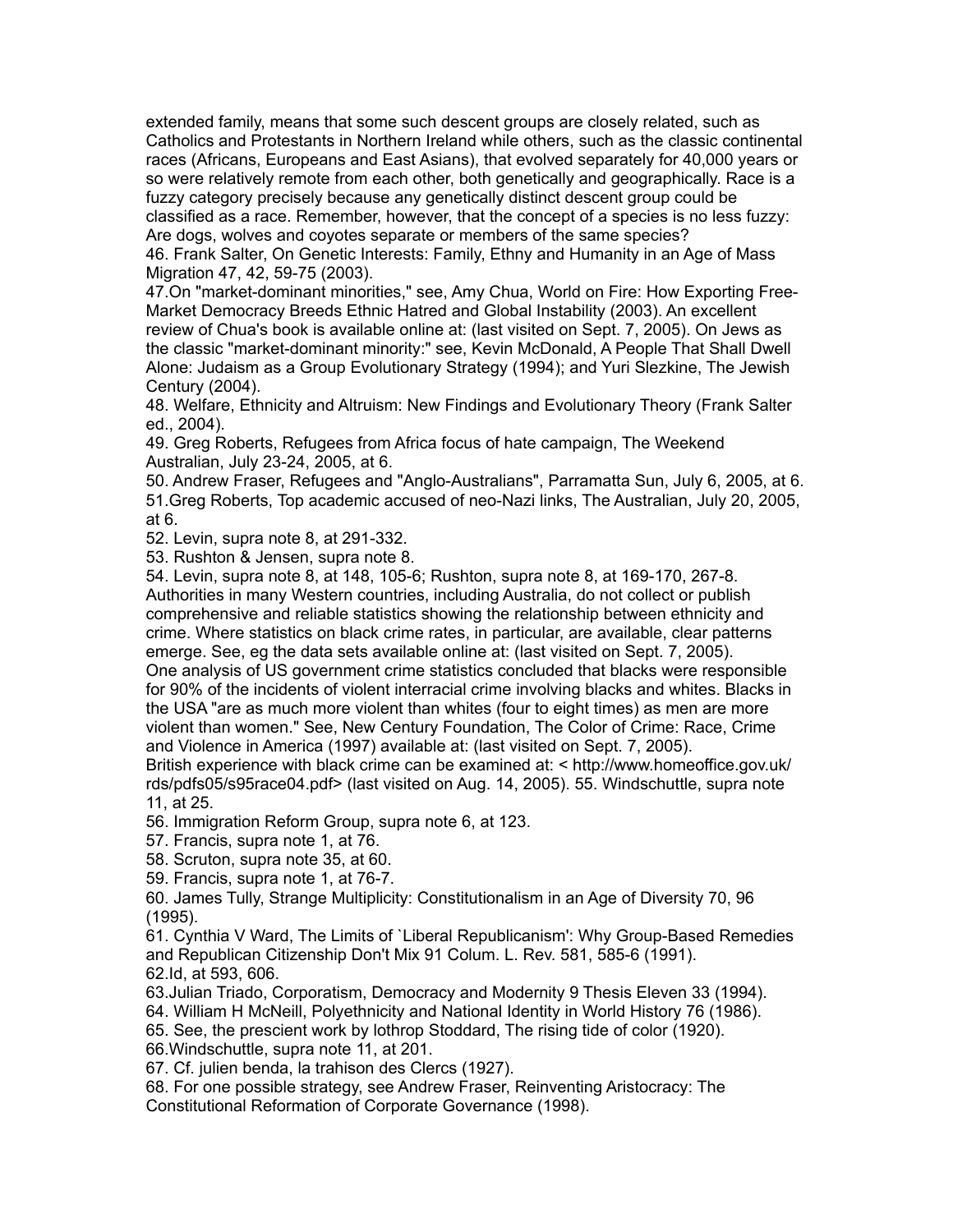extended family, means that some such descent groups are closely related, such as Catholics and Protestants in Northern Ireland while others, such as the classic continental races (Africans, Europeans and East Asians), that evolved separately for 40,000 years or so were relatively remote from each other, both genetically and geographically. Race is a fuzzy category precisely because any genetically distinct descent group could be classified as a race. Remember, however, that the concept of a species is no less fuzzy: Are dogs, wolves and coyotes separate or members of the same species?

46. Frank Salter, On Genetic Interests: Family, Ethny and Humanity in an Age of Mass Migration 47, 42, 59-75 (2003).

47.On "market-dominant minorities," see, Amy Chua, World on Fire: How Exporting Free-Market Democracy Breeds Ethnic Hatred and Global Instability (2003). An excellent review of Chua's book is available online at: (last visited on Sept. 7, 2005). On Jews as the classic "market-dominant minority:" see, Kevin McDonald, A People That Shall Dwell Alone: Judaism as a Group Evolutionary Strategy (1994); and Yuri Slezkine, The Jewish Century (2004).

48. Welfare, Ethnicity and Altruism: New Findings and Evolutionary Theory (Frank Salter ed., 2004).

49. Greg Roberts, Refugees from Africa focus of hate campaign, The Weekend Australian, July 23-24, 2005, at 6.

50. Andrew Fraser, Refugees and "Anglo-Australians", Parramatta Sun, July 6, 2005, at 6. 51.Greg Roberts, Top academic accused of neo-Nazi links, The Australian, July 20, 2005, at 6.

52. Levin, supra note 8, at 291-332.

53. Rushton & Jensen, supra note 8.

54. Levin, supra note 8, at 148, 105-6; Rushton, supra note 8, at 169-170, 267-8. Authorities in many Western countries, including Australia, do not collect or publish comprehensive and reliable statistics showing the relationship between ethnicity and crime. Where statistics on black crime rates, in particular, are available, clear patterns emerge. See, eg the data sets available online at: (last visited on Sept. 7, 2005).

One analysis of US government crime statistics concluded that blacks were responsible for 90% of the incidents of violent interracial crime involving blacks and whites. Blacks in the USA "are as much more violent than whites (four to eight times) as men are more violent than women." See, New Century Foundation, The Color of Crime: Race, Crime and Violence in America (1997) available at: (last visited on Sept. 7, 2005).

British experience with black crime can be examined at: < http://www.homeoffice.gov.uk/ rds/pdfs05/s95race04.pdf> (last visited on Aug. 14, 2005). 55. Windschuttle, supra note 11, at 25.

56. Immigration Reform Group, supra note 6, at 123.

57. Francis, supra note 1, at 76.

58. Scruton, supra note 35, at 60.

59. Francis, supra note 1, at 76-7.

60. James Tully, Strange Multiplicity: Constitutionalism in an Age of Diversity 70, 96 (1995).

61. Cynthia V Ward, The Limits of `Liberal Republicanism': Why Group-Based Remedies and Republican Citizenship Don't Mix 91 Colum. L. Rev. 581, 585-6 (1991). 62.Id, at 593, 606.

63.Julian Triado, Corporatism, Democracy and Modernity 9 Thesis Eleven 33 (1994).

64. William H McNeill, Polyethnicity and National Identity in World History 76 (1986).

65. See, the prescient work by lothrop Stoddard, The rising tide of color (1920).

66.Windschuttle, supra note 11, at 201.

67. Cf. julien benda, la trahison des Clercs (1927).

68. For one possible strategy, see Andrew Fraser, Reinventing Aristocracy: The Constitutional Reformation of Corporate Governance (1998).